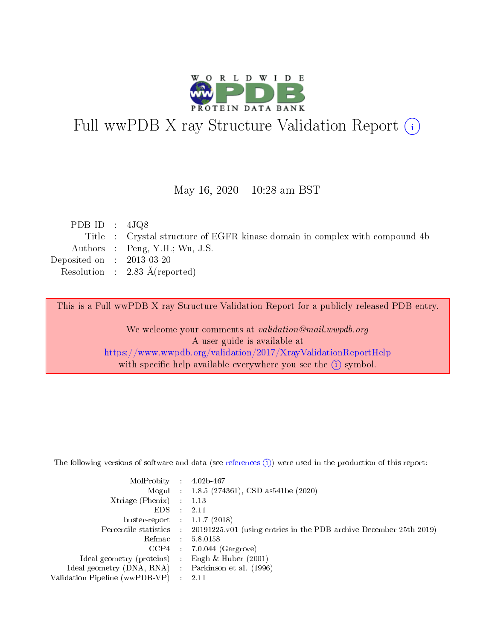

# Full wwPDB X-ray Structure Validation Report (i)

#### May 16,  $2020 - 10:28$  am BST

| PDB ID : $4JQ8$             |                                                                             |
|-----------------------------|-----------------------------------------------------------------------------|
|                             | Title : Crystal structure of EGFR kinase domain in complex with compound 4b |
|                             | Authors : Peng, Y.H.; Wu, J.S.                                              |
| Deposited on : $2013-03-20$ |                                                                             |
|                             | Resolution : $2.83 \text{ Å}$ (reported)                                    |
|                             |                                                                             |

This is a Full wwPDB X-ray Structure Validation Report for a publicly released PDB entry.

We welcome your comments at validation@mail.wwpdb.org A user guide is available at <https://www.wwpdb.org/validation/2017/XrayValidationReportHelp> with specific help available everywhere you see the  $(i)$  symbol.

The following versions of software and data (see [references](https://www.wwpdb.org/validation/2017/XrayValidationReportHelp#references)  $(1)$ ) were used in the production of this report:

| MolProbity :                   |               | $4.02b - 467$                                                               |
|--------------------------------|---------------|-----------------------------------------------------------------------------|
|                                |               | Mogul : $1.8.5$ (274361), CSD as 541be (2020)                               |
| $X$ triage (Phenix) :          |               | 1.13                                                                        |
| EDS.                           |               | 2.11                                                                        |
| buster-report : $1.1.7$ (2018) |               |                                                                             |
| Percentile statistics :        |               | $20191225 \text{v}01$ (using entries in the PDB archive December 25th 2019) |
| Refmac :                       |               | 5.8.0158                                                                    |
| $CCP4$ :                       |               | $7.0.044$ (Gargrove)                                                        |
| Ideal geometry (proteins) :    |               | Engh $\&$ Huber (2001)                                                      |
| Ideal geometry (DNA, RNA) :    |               | Parkinson et al. (1996)                                                     |
| Validation Pipeline (wwPDB-VP) | $\mathcal{L}$ | 2.11                                                                        |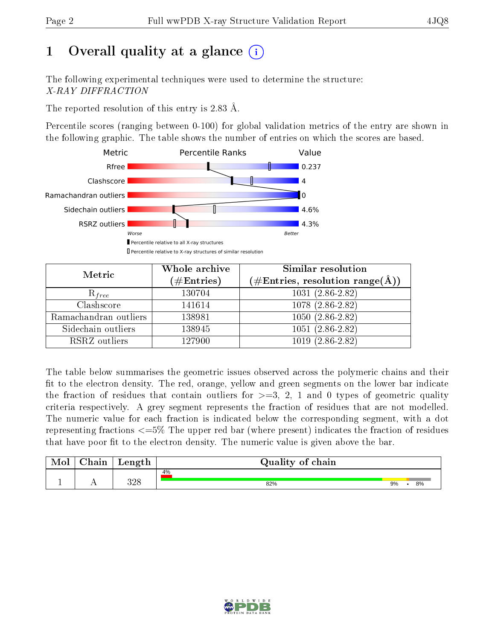# 1 [O](https://www.wwpdb.org/validation/2017/XrayValidationReportHelp#overall_quality)verall quality at a glance  $(i)$

The following experimental techniques were used to determine the structure: X-RAY DIFFRACTION

The reported resolution of this entry is 2.83 Å.

Percentile scores (ranging between 0-100) for global validation metrics of the entry are shown in the following graphic. The table shows the number of entries on which the scores are based.



| Metric                | Whole archive<br>$(\#\text{Entries})$ | Similar resolution<br>$(\#\text{Entries},\,\text{resolution}\,\,\text{range}(\textup{\AA}))$ |
|-----------------------|---------------------------------------|----------------------------------------------------------------------------------------------|
| $R_{free}$            | 130704                                | $1031(2.86-2.82)$                                                                            |
| Clashscore            | 141614                                | $1078(2.86-2.82)$                                                                            |
| Ramachandran outliers | 138981                                | $1050(2.86-2.82)$                                                                            |
| Sidechain outliers    | 138945                                | $1051(2.86-2.82)$                                                                            |
| RSRZ outliers         | 127900                                | $1019(2.86-2.82)$                                                                            |

The table below summarises the geometric issues observed across the polymeric chains and their fit to the electron density. The red, orange, yellow and green segments on the lower bar indicate the fraction of residues that contain outliers for  $>=3, 2, 1$  and 0 types of geometric quality criteria respectively. A grey segment represents the fraction of residues that are not modelled. The numeric value for each fraction is indicated below the corresponding segment, with a dot representing fractions  $\epsilon=5\%$  The upper red bar (where present) indicates the fraction of residues that have poor fit to the electron density. The numeric value is given above the bar.

| Mol       | $\sim$ $\sim$<br>hain | Length      | Quality of chain |    |  |    |  |  |  |
|-----------|-----------------------|-------------|------------------|----|--|----|--|--|--|
|           |                       |             | 4%               |    |  |    |  |  |  |
| <u>д.</u> | . .                   | າ ດ໐<br>ാ∠⊂ | 82%              | 9% |  | 8% |  |  |  |

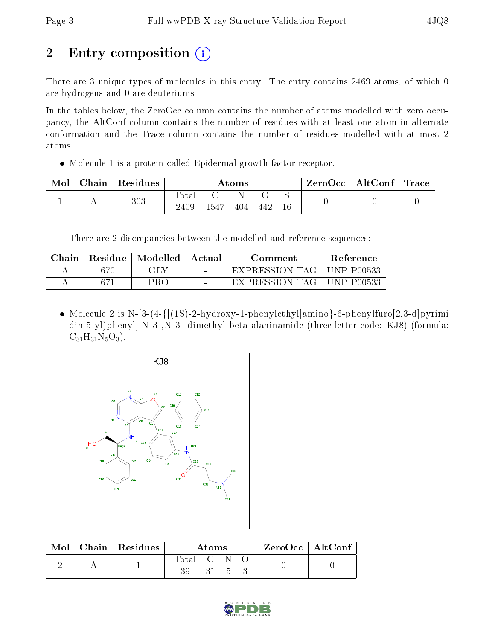# 2 Entry composition (i)

There are 3 unique types of molecules in this entry. The entry contains 2469 atoms, of which 0 are hydrogens and 0 are deuteriums.

In the tables below, the ZeroOcc column contains the number of atoms modelled with zero occupancy, the AltConf column contains the number of residues with at least one atom in alternate conformation and the Trace column contains the number of residues modelled with at most 2 atoms.

Molecule 1 is a protein called Epidermal growth factor receptor.

| Mol | Chain | Residues | Atoms                   |      |     |     | ZeroOcc | $\mid$ AltConf $\mid$ Trace |  |  |
|-----|-------|----------|-------------------------|------|-----|-----|---------|-----------------------------|--|--|
|     |       | 303      | $\mathrm{Tota}$<br>2409 | 1547 | 404 | 442 | $16\,$  |                             |  |  |

There are 2 discrepancies between the modelled and reference sequences:

| Chain |    | Residue   Modelled | - Actual | Comment                 | Reference         |
|-------|----|--------------------|----------|-------------------------|-------------------|
|       |    | GLY                |          | EXPRESSION TAG          | UNP P00533        |
|       | 67 | PRO                | $\sim$   | <b>EXPRESSION TAG  </b> | <b>UNP P00533</b> |

• Molecule 2 is N-[3-(4- $\{[(1S)-2-hydroxy-1-phenylethyl]$ amino}-6-phenylfuro[2,3-d]pyrimi din-5-yl)phenyl]-N 3 ,N 3 -dimethyl-beta-alaninamide (three-letter code: KJ8) (formula:  $C_{31}H_{31}N_5O_3$ .



| Mol | $\mid$ Chain $\mid$ Residues | Atoms            |  |  |  | $ZeroOcc \mid AltConf \mid$ |
|-----|------------------------------|------------------|--|--|--|-----------------------------|
|     |                              | $\mathrm{Total}$ |  |  |  |                             |
|     |                              |                  |  |  |  |                             |

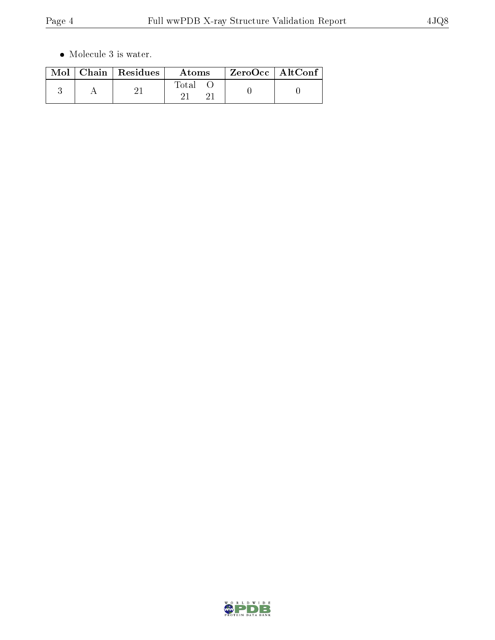$\bullet\,$  Molecule 3 is water.

|  | $\text{Mol}$   Chain   Residues | Atoms | $ZeroOcc \   \ AltConf$ |
|--|---------------------------------|-------|-------------------------|
|  |                                 | Total |                         |

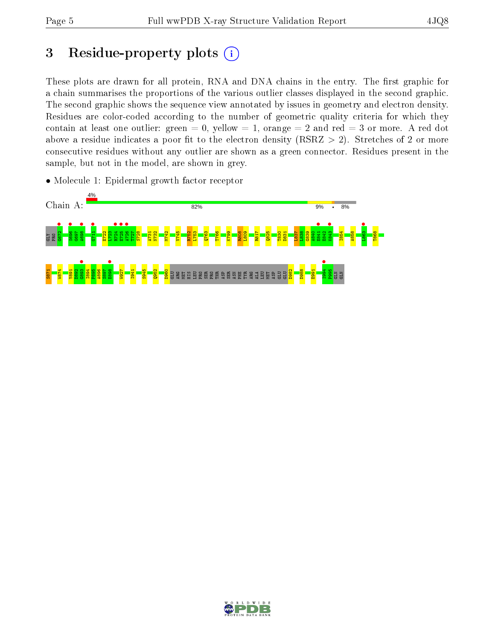# 3 Residue-property plots  $(i)$

These plots are drawn for all protein, RNA and DNA chains in the entry. The first graphic for a chain summarises the proportions of the various outlier classes displayed in the second graphic. The second graphic shows the sequence view annotated by issues in geometry and electron density. Residues are color-coded according to the number of geometric quality criteria for which they contain at least one outlier: green  $= 0$ , yellow  $= 1$ , orange  $= 2$  and red  $= 3$  or more. A red dot above a residue indicates a poor fit to the electron density (RSRZ  $> 2$ ). Stretches of 2 or more consecutive residues without any outlier are shown as a green connector. Residues present in the sample, but not in the model, are shown in grey.

• Molecule 1: Epidermal growth factor receptor



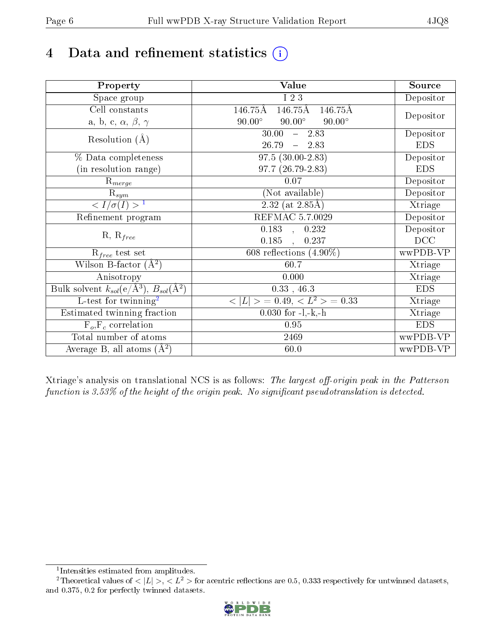# 4 Data and refinement statistics  $(i)$

| Property                                                             | Value                                           | Source     |
|----------------------------------------------------------------------|-------------------------------------------------|------------|
| Space group                                                          | I 2 3                                           | Depositor  |
| Cell constants                                                       | 146.75Å<br>146.75Å<br>146.75Å                   |            |
| a, b, c, $\alpha$ , $\beta$ , $\gamma$                               | $90.00^\circ$<br>$90.00^\circ$<br>$90.00^\circ$ | Depositor  |
| Resolution $(A)$                                                     | 30.00<br>$-2.83$                                | Depositor  |
|                                                                      | 26.79<br>$-2.83$                                | <b>EDS</b> |
| % Data completeness                                                  | $97.5(30.00-2.83)$                              | Depositor  |
| (in resolution range)                                                | 97.7 (26.79-2.83)                               | <b>EDS</b> |
| $R_{merge}$                                                          | 0.07                                            | Depositor  |
| $\mathrm{R}_{sym}$                                                   | (Not available)                                 | Depositor  |
| $\langle I/\sigma(I) \rangle^{-1}$                                   | $2.32$ (at 2.85Å)                               | Xtriage    |
| Refinement program                                                   | <b>REFMAC 5.7.0029</b>                          | Depositor  |
|                                                                      | $\overline{0.183}$ ,<br>0.232                   | Depositor  |
| $R, R_{free}$                                                        | 0.185<br>0.237<br>$\mathbf{r}$                  | DCC        |
| $R_{free}$ test set                                                  | 608 reflections $(4.90\%)$                      | wwPDB-VP   |
| Wilson B-factor $(A^2)$                                              | 60.7                                            | Xtriage    |
| Anisotropy                                                           | 0.000                                           | Xtriage    |
| Bulk solvent $k_{sol}(e/\mathring{A}^3)$ , $B_{sol}(\mathring{A}^2)$ | $0.33$ , 46.3                                   | <b>EDS</b> |
| L-test for twinning <sup>2</sup>                                     | $< L >$ = 0.49, $< L2$ > = 0.33                 | Xtriage    |
| Estimated twinning fraction                                          | $0.030$ for $-l,-k,-h$                          | Xtriage    |
| $F_o, F_c$ correlation                                               | 0.95                                            | <b>EDS</b> |
| Total number of atoms                                                | 2469                                            | wwPDB-VP   |
| Average B, all atoms $(A^2)$                                         | 60.0                                            | wwPDB-VP   |

Xtriage's analysis on translational NCS is as follows: The largest off-origin peak in the Patterson function is  $3.53\%$  of the height of the origin peak. No significant pseudotranslation is detected.

<sup>&</sup>lt;sup>2</sup>Theoretical values of  $\langle |L| \rangle$ ,  $\langle L^2 \rangle$  for acentric reflections are 0.5, 0.333 respectively for untwinned datasets, and 0.375, 0.2 for perfectly twinned datasets.



<span id="page-5-1"></span><span id="page-5-0"></span><sup>1</sup> Intensities estimated from amplitudes.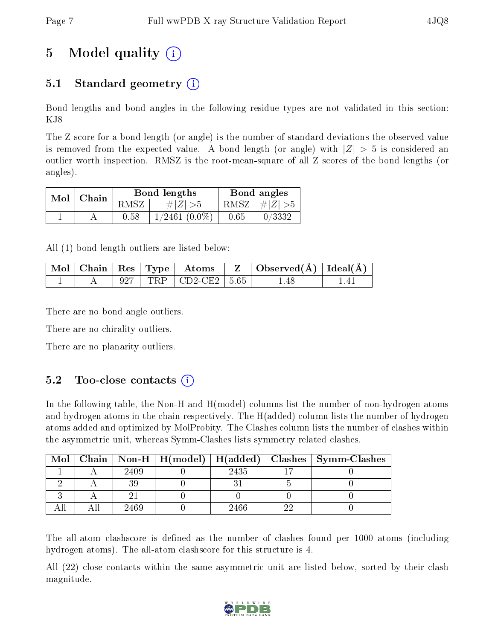# 5 Model quality  $(i)$

## 5.1 Standard geometry  $(i)$

Bond lengths and bond angles in the following residue types are not validated in this section: KJ8

The Z score for a bond length (or angle) is the number of standard deviations the observed value is removed from the expected value. A bond length (or angle) with  $|Z| > 5$  is considered an outlier worth inspection. RMSZ is the root-mean-square of all Z scores of the bond lengths (or angles).

| Mol | $\mid$ Chain |      | Bond lengths       | Bond angles |                         |  |
|-----|--------------|------|--------------------|-------------|-------------------------|--|
|     |              | RMSZ | $\# Z  > 5$        |             | RMSZ $\mid \#Z \mid >5$ |  |
|     |              | 0.58 | $1/2461$ $(0.0\%)$ | 0.65        | 0/3332                  |  |

All (1) bond length outliers are listed below:

|  |  | $\mid$ Mol $\mid$ Chain $\mid$ Res $\mid$ Type $\mid$ Atoms | Observed $(A)$   Ideal $(A)$ |  |
|--|--|-------------------------------------------------------------|------------------------------|--|
|  |  | 927   TRP   CD2-CE2   5.65                                  | -48                          |  |

There are no bond angle outliers.

There are no chirality outliers.

There are no planarity outliers.

### $5.2$  Too-close contacts  $(i)$

In the following table, the Non-H and H(model) columns list the number of non-hydrogen atoms and hydrogen atoms in the chain respectively. The H(added) column lists the number of hydrogen atoms added and optimized by MolProbity. The Clashes column lists the number of clashes within the asymmetric unit, whereas Symm-Clashes lists symmetry related clashes.

| Mol |      |      | Chain   Non-H   H(model)   H(added)   Clashes   Symm-Clashes |
|-----|------|------|--------------------------------------------------------------|
|     | 2409 | 2435 |                                                              |
|     |      |      |                                                              |
|     |      |      |                                                              |
|     | 2469 | 2466 |                                                              |

The all-atom clashscore is defined as the number of clashes found per 1000 atoms (including hydrogen atoms). The all-atom clashscore for this structure is 4.

All (22) close contacts within the same asymmetric unit are listed below, sorted by their clash magnitude.

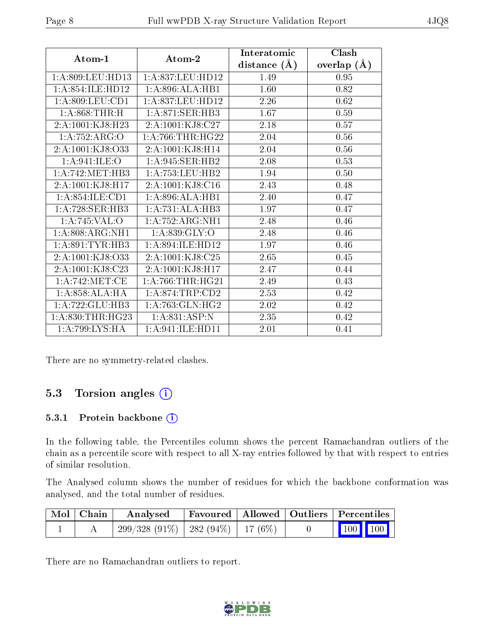|                      |                     | Interatomic    | Clash         |
|----------------------|---------------------|----------------|---------------|
| Atom-1               | Atom-2              | distance $(A)$ | overlap $(A)$ |
| 1: A:809:LEU:HD13    | 1:A:837:LEU:HD12    | 1.49           | 0.95          |
| 1:A:854:ILE:HD12     | 1:A:896:ALA:HB1     | 1.60           | 0.82          |
| 1: A:809:LEU:CD1     | 1: A:837:LEU:HD12   | 2.26           | 0.62          |
| 1: A:868:THR:H       | 1: A:871: SER:HB3   | 1.67           | 0.59          |
| 2:A:1001:KJ8:H23     | 2:A:1001:KJ8:C27    | 2.18           | 0.57          |
| 1:A:752:ARG:O        | 1: A:766:THR:HG22   | 2.04           | 0.56          |
| 2: A: 1001: KJ8: O33 | 2: A: 1001: KJ8:H14 | 2.04           | 0.56          |
| 1: A:941: ILE:O      | 1:A:945:SER:HB2     | 2.08           | 0.53          |
| 1: A:742: MET:HB3    | 1: A: 753: LEU: HB2 | 1.94           | 0.50          |
| 2:A:1001:KJ8:H17     | 2:A:1001:KJ8:C16    | 2.43           | 0.48          |
| 1:A:854:ILE:CD1      | 1:A:896:ALA:HB1     | 2.40           | 0.47          |
| 1: A:728: SER: HB3   | 1:A:731:ALA:HB3     | 1.97           | 0.47          |
| 1:A:745:VAL:O        | 1: A: 752: ARG: NH1 | 2.48           | 0.46          |
| 1:A:808:ARG:NH1      | 1: A.839: GLY:O     | 2.48           | 0.46          |
| 1: A:891:TYR:HB3     | 1:A:894:ILE:HD12    | 1.97           | 0.46          |
| 2:A:1001:KJ8:O33     | 2:A:1001:KJ8:C25    | 2.65           | 0.45          |
| 2: A: 1001: KJ8: C23 | 2: A: 1001: KJ8:H17 | 2.47           | 0.44          |
| 1: A:742: MET:CE     | 1: A:766:THR:HG21   | 2.49           | 0.43          |
| 1:A:858:ALA:HA       | 1: A:874:TRP:CD2    | 2.53           | 0.42          |
| 1:A:722:GLU:HB3      | 1: A:763: GLN: HG2  | 2.02           | 0.42          |
| 1: A:830:THR:HG23    | 1:A:831:ASP:N       | 2.35           | 0.42          |
| 1:A:799:LYS:HA       | 1: A:941: ILE:HD11  | 2.01           | 0.41          |

There are no symmetry-related clashes.

### 5.3 Torsion angles (i)

#### 5.3.1 Protein backbone (i)

In the following table, the Percentiles column shows the percent Ramachandran outliers of the chain as a percentile score with respect to all X-ray entries followed by that with respect to entries of similar resolution.

The Analysed column shows the number of residues for which the backbone conformation was analysed, and the total number of residues.

| $\mid$ Mol $\mid$ Chain $\mid$ | Analysed                                 | Favoured   Allowed   Outliers   Percentiles |  |                                 |  |
|--------------------------------|------------------------------------------|---------------------------------------------|--|---------------------------------|--|
|                                | $299/328$ (91\%)   282 (94\%)   17 (6\%) |                                             |  | $\parallel$ 100 100 $\parallel$ |  |

There are no Ramachandran outliers to report.

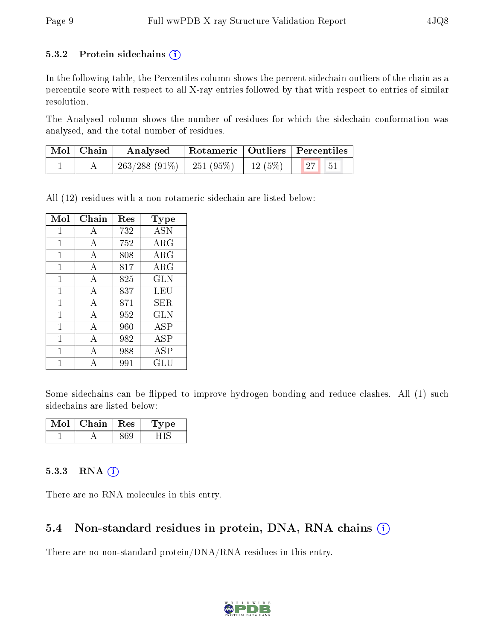#### 5.3.2 Protein sidechains  $(i)$

In the following table, the Percentiles column shows the percent sidechain outliers of the chain as a percentile score with respect to all X-ray entries followed by that with respect to entries of similar resolution.

The Analysed column shows the number of residues for which the sidechain conformation was analysed, and the total number of residues.

| $\mid$ Mol $\mid$ Chain | Analysed                                 | Rotameric   Outliers   Percentiles |       |  |
|-------------------------|------------------------------------------|------------------------------------|-------|--|
|                         | $263/288$ (91\%)   251 (95\%)   12 (5\%) |                                    | 27 51 |  |

All (12) residues with a non-rotameric sidechain are listed below:

| Mol          | ${\rm Chain}$ | Res | <b>Type</b>  |
|--------------|---------------|-----|--------------|
| 1            | А             | 732 | <b>ASN</b>   |
| 1            | А             | 752 | ARG          |
| 1            | А             | 808 | $\rm{ARG}$   |
| 1            | A             | 817 | ARG          |
| $\mathbf{1}$ | А             | 825 | $_{\rm GLN}$ |
| 1            | А             | 837 | LEU          |
| 1            | А             | 871 | SER.         |
| 1            | А             | 952 | GLN          |
| 1            | А             | 960 | <b>ASP</b>   |
| 1            | А             | 982 | ASP          |
| 1            | A             | 988 | <b>ASP</b>   |
|              | А             | 991 | GLU          |

Some sidechains can be flipped to improve hydrogen bonding and reduce clashes. All (1) such sidechains are listed below:

| VIol | Chain   Res | vpe |
|------|-------------|-----|
|      |             |     |

#### 5.3.3 RNA (i)

There are no RNA molecules in this entry.

#### 5.4 Non-standard residues in protein, DNA, RNA chains (i)

There are no non-standard protein/DNA/RNA residues in this entry.

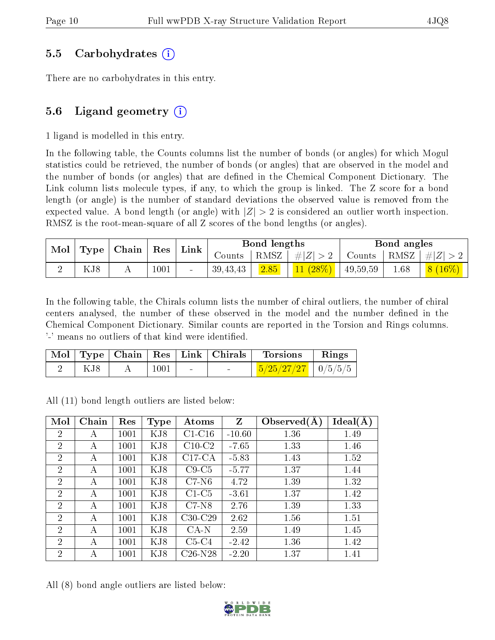#### 5.5 Carbohydrates (i)

There are no carbohydrates in this entry.

### 5.6 Ligand geometry  $(i)$

1 ligand is modelled in this entry.

In the following table, the Counts columns list the number of bonds (or angles) for which Mogul statistics could be retrieved, the number of bonds (or angles) that are observed in the model and the number of bonds (or angles) that are defined in the Chemical Component Dictionary. The Link column lists molecule types, if any, to which the group is linked. The Z score for a bond length (or angle) is the number of standard deviations the observed value is removed from the expected value. A bond length (or angle) with  $|Z| > 2$  is considered an outlier worth inspection. RMSZ is the root-mean-square of all Z scores of the bond lengths (or angles).

|  | Chain<br>${\rm Res}$<br>Mol<br>Type |  | Link   | Bond lengths |            |        | Bond angles |          |      |            |
|--|-------------------------------------|--|--------|--------------|------------|--------|-------------|----------|------|------------|
|  |                                     |  | Counts | RMSZ         | $\ E\ $    | Counts | RMSZ        | $\# Z $  |      |            |
|  | KJ8                                 |  | 1001   |              | 39, 43, 43 | 2.85   | $11(28\%)$  | 49,59,59 | 1.68 | $(8(16\%)$ |

In the following table, the Chirals column lists the number of chiral outliers, the number of chiral centers analysed, the number of these observed in the model and the number defined in the Chemical Component Dictionary. Similar counts are reported in the Torsion and Rings columns. '-' means no outliers of that kind were identified.

|     |      |  | Mol   Type   Chain   Res   Link   Chirals   Torsions | $\parallel$ Rings |
|-----|------|--|------------------------------------------------------|-------------------|
| KJ8 | 1001 |  | $\frac{5/25/27/27}{10/5/5/5}$                        |                   |

All (11) bond length outliers are listed below:

| Mol            | Chain | Res  | <b>Type</b> | Atoms     | $Z_{\parallel}$ | Observed $(A)$ | Ideal(A) |
|----------------|-------|------|-------------|-----------|-----------------|----------------|----------|
| 2              | А     | 1001 | KJ8         | $C1-C16$  | $-10.60$        | 1.36           | 1.49     |
| $\overline{2}$ | А     | 1001 | KJ8         | $C10-C2$  | $-7.65$         | 1.33           | 1.46     |
| $\overline{2}$ | А     | 1001 | KJ8         | $C17-CA$  | $-5.83$         | 1.43           | 1.52     |
| $\overline{2}$ | А     | 1001 | KJ8         | $C9-C5$   | $-5.77$         | 1.37           | 1.44     |
| $\overline{2}$ | A     | 1001 | KJ8         | $C7-N6$   | 4.72            | 1.39           | 1.32     |
| $\overline{2}$ | А     | 1001 | KJ8         | $C1-C5$   | $-3.61$         | 1.37           | 1.42     |
| $\overline{2}$ | А     | 1001 | KJ8         | $C7-N8$   | 2.76            | 1.39           | 1.33     |
| $\overline{2}$ | А     | 1001 | KJ8         | $C30-C29$ | 2.62            | 1.56           | 1.51     |
| $\overline{2}$ | А     | 1001 | KJ8         | $CA-N$    | 2.59            | 1.49           | 1.45     |
| $\overline{2}$ | А     | 1001 | KJ8         | $C5-C4$   | $-2.42$         | 1.36           | 1.42     |
| $\overline{2}$ | А     | 1001 | KJ8         | C26-N28   | $-2.20$         | 1.37           | 1.41     |

All (8) bond angle outliers are listed below:

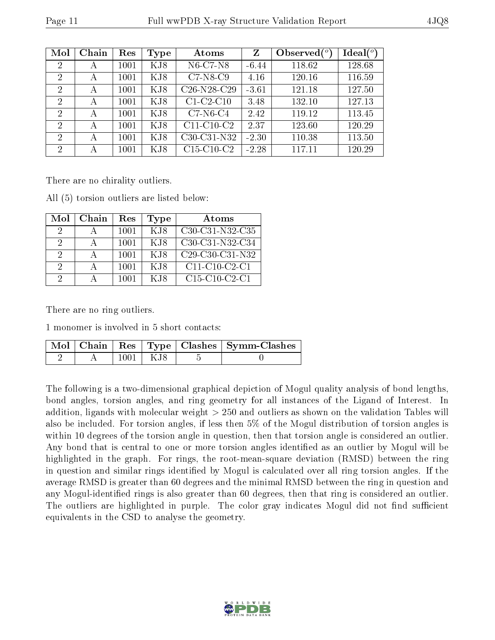| Mol            | Chain | Res  | <b>Type</b> | Atoms                                             | Z       | Observed $(°)$ | $\text{Ideal}({}^o)$ |
|----------------|-------|------|-------------|---------------------------------------------------|---------|----------------|----------------------|
| $\overline{2}$ | А     | 1001 | KJ8         | N6-C7-N8                                          | $-6.44$ | 118.62         | 128.68               |
| $\overline{2}$ | А     | 1001 | KJ8         | $C7-N8-C9$                                        | 4.16    | 120.16         | 116.59               |
| $\overline{2}$ | А     | 1001 | KJ8         | C <sub>26</sub> -N <sub>28</sub> -C <sub>29</sub> | $-3.61$ | 121.18         | 127.50               |
| $\overline{2}$ | А     | 1001 | KJ8         | $C1-C2-C10$                                       | 3.48    | 132.10         | 127.13               |
| $\overline{2}$ | А     | 1001 | KJ8         | $C7-N6-C4$                                        | 2.42    | 119.12         | 113.45               |
| $\overline{2}$ | А     | 1001 | KJ8         | $C11-C10-C2$                                      | 2.37    | 123.60         | 120.29               |
| $\overline{2}$ | А     | 1001 | KJ8         | C30-C31-N32                                       | $-2.30$ | 110.38         | 113.50               |
| $\overline{2}$ | А     | 1001 | KJ8         | $C15-C10-C2$                                      | $-2.28$ | 117.11         | 120.29               |

There are no chirality outliers.

All (5) torsion outliers are listed below:

| Mol      | Chain | Res  | Type | Atoms                                                              |
|----------|-------|------|------|--------------------------------------------------------------------|
| $\Omega$ |       | 1001 | KJ8  | C <sub>30</sub> -C <sub>31</sub> -N <sub>32</sub> -C <sub>35</sub> |
| 2        |       | 1001 | K.I8 | C <sub>30</sub> -C <sub>31</sub> -N <sub>32</sub> -C <sub>34</sub> |
| 2        |       | 1001 | K.I8 | C <sub>29</sub> -C <sub>30</sub> -C <sub>31</sub> -N <sub>32</sub> |
| $\cdot$  |       | 1001 | KJ8  | C11-C10-C2-C1                                                      |
| 9        |       |      | K.I8 | $C15-C10-C2-C1$                                                    |

There are no ring outliers.

1 monomer is involved in 5 short contacts:

|  |            | Mol   Chain   Res   Type   Clashes   Symm-Clashes |
|--|------------|---------------------------------------------------|
|  | $1001$ KJ8 |                                                   |

The following is a two-dimensional graphical depiction of Mogul quality analysis of bond lengths, bond angles, torsion angles, and ring geometry for all instances of the Ligand of Interest. In addition, ligands with molecular weight > 250 and outliers as shown on the validation Tables will also be included. For torsion angles, if less then 5% of the Mogul distribution of torsion angles is within 10 degrees of the torsion angle in question, then that torsion angle is considered an outlier. Any bond that is central to one or more torsion angles identified as an outlier by Mogul will be highlighted in the graph. For rings, the root-mean-square deviation (RMSD) between the ring in question and similar rings identified by Mogul is calculated over all ring torsion angles. If the average RMSD is greater than 60 degrees and the minimal RMSD between the ring in question and any Mogul-identified rings is also greater than 60 degrees, then that ring is considered an outlier. The outliers are highlighted in purple. The color gray indicates Mogul did not find sufficient equivalents in the CSD to analyse the geometry.

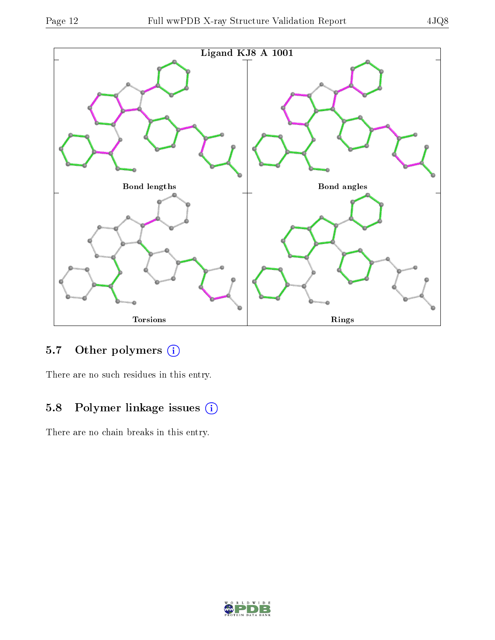

## 5.7 [O](https://www.wwpdb.org/validation/2017/XrayValidationReportHelp#nonstandard_residues_and_ligands)ther polymers (i)

There are no such residues in this entry.

## 5.8 Polymer linkage issues (i)

There are no chain breaks in this entry.

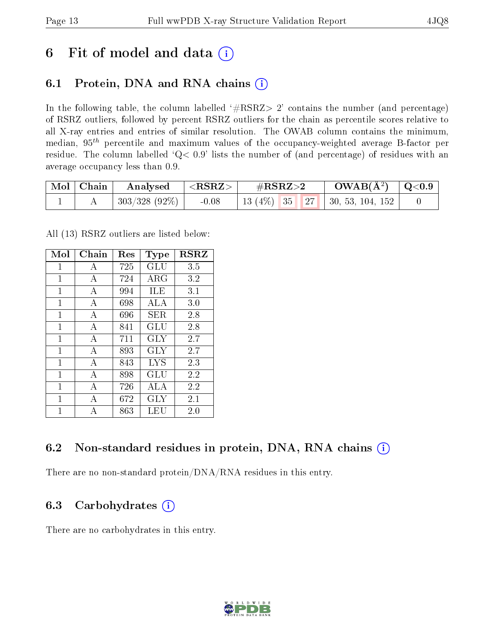## 6 Fit of model and data  $(i)$

### 6.1 Protein, DNA and RNA chains  $(i)$

In the following table, the column labelled  $#RSRZ> 2'$  contains the number (and percentage) of RSRZ outliers, followed by percent RSRZ outliers for the chain as percentile scores relative to all X-ray entries and entries of similar resolution. The OWAB column contains the minimum, median,  $95<sup>th</sup>$  percentile and maximum values of the occupancy-weighted average B-factor per residue. The column labelled ' $Q< 0.9$ ' lists the number of (and percentage) of residues with an average occupancy less than 0.9.

| $\mid$ Mol $\mid$ Chain | Analysed        | ${ <\hspace{-1.5pt} {\rm RSRZ} \hspace{-1.5pt}>}$ | $\rm \#RSRZ{>}2$ |  | $\rm{OWAB}(\AA^2)$ $\vert$ Q<0.9 $\vert$ |  |
|-------------------------|-----------------|---------------------------------------------------|------------------|--|------------------------------------------|--|
|                         | $303/328(92\%)$ | $-0.08$                                           |                  |  | 13 (4\%)   35   27   30, 53, 104, 152    |  |

All (13) RSRZ outliers are listed below:

| Mol | Chain          | $\operatorname{Res}% \left( \mathcal{N}\right) \equiv\operatorname{Res}(\mathcal{N}_{0})\cap\mathcal{N}_{1}$ | Type       | $_{\rm RSRZ}$ |  |
|-----|----------------|--------------------------------------------------------------------------------------------------------------|------------|---------------|--|
| 1   | А              | 725                                                                                                          | GLU        | 3.5           |  |
| 1   | A              | 724                                                                                                          | ARG        | 3.2           |  |
| 1   | A              | 994                                                                                                          | ILE        | 3.1           |  |
| 1   | А              | 698                                                                                                          | ALA        | 3.0           |  |
| 1   | A              | 696                                                                                                          | SER.       | 2.8           |  |
| 1   | А              | 841                                                                                                          | GLU        | 2.8           |  |
| 1   | A              | 711                                                                                                          | GLY        | 2.7           |  |
| 1   | A              | 893                                                                                                          | GLY        | 2.7           |  |
| 1   | A              | 843                                                                                                          | LYS        | 2.3           |  |
| 1   | $\overline{A}$ | 898                                                                                                          | GLU        | 2.2           |  |
| 1   | А              | 726                                                                                                          | ALA        | 2.2           |  |
| 1   | А              | 672                                                                                                          | <b>GLY</b> | 2.1           |  |
| 1   | А              | 863                                                                                                          | LEU        | 2.0           |  |

### 6.2 Non-standard residues in protein, DNA, RNA chains (i)

There are no non-standard protein/DNA/RNA residues in this entry.

### 6.3 Carbohydrates (i)

There are no carbohydrates in this entry.